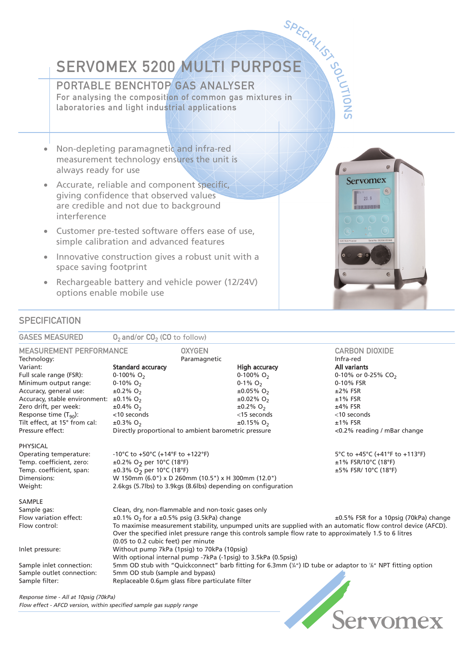# PORTABLE BENCHTOP GAS ANALYSER

SERVOMEX 5200 MULTI PURPOSE<br>PORTABLE BENCHTOP GAS ANALYSER<br>For analysing the composition of common gas mixtures in<br>Laboratories and light industrial applications For analysing the composition of common gas mixtures in laboratories and light industrial applications

- Non-depleting paramagnetic and infra-red measurement technology ensures the unit is always ready for use
- Accurate, reliable and component specific, giving confidence that observed values are credible and not due to background interference
- Customer pre-tested software offers ease of use, simple calibration and advanced features
- Innovative construction gives a robust unit with a space saving footprint
- Rechargeable battery and vehicle power (12/24V) options enable mobile use

# **SPECIFICATION**

GASES MEASURED  $0_2$  and/or  $CO_2$  (CO to follow) MEASUREMENT PERFORMANCE OXYGEN CARBON DIOXIDE Paramagnetic Variant: National Standard accuracy Controller High accuracy All variants Full scale range (FSR):  $0.100\% \text{ O}_2$ <br>
Minimum output range:  $0.10\% \text{ O}_2$ <br>  $0.1\% \text{ O}_2$ <br>  $0.1\% \text{ O}_2$ <br>  $0.1\% \text{ O}_2$ <br>  $0.1\% \text{ S}$ R Minimum output range:  $0.10\%$  O<sub>2</sub>  $0.10\%$  O<sub>2</sub>  $0.05\%$  O<sub>2</sub>  $\pm$  2% FSR<br>Accuracy, general use:  $\pm$  0.2% O<sub>2</sub>  $\pm$  0.05% O<sub>2</sub>  $\pm$  2% FSR Accuracy, general use:  $\pm 0.2\%$  O<sub>2</sub>  $\pm 0.05\%$  O<sub>2</sub>  $\pm 2\%$  FSR<br>Accuracy, stable environment:  $\pm 0.1\%$  O<sub>2</sub>  $\pm 0.02\%$  O<sub>2</sub>  $\pm 1\%$  FSR Accuracy, stable environment:  $\pm 0.1\%$  O<sub>2</sub>  $\pm 0.02\%$  O<sub>2</sub>  $\pm 1\%$  FSR<br>Zero drift, per week:  $\pm 0.4\%$  O<sub>2</sub>  $\pm 0.2\%$  O<sub>2</sub>  $\pm 0.2\%$  O<sub>2</sub>  $\pm 4\%$  FSR  $\frac{1}{2}$  Zero drift, per week:  $\frac{1}{2}$   $\frac{1}{2}$   $\frac{1}{2}$   $\frac{1}{2}$   $\frac{1}{2}$   $\frac{1}{2}$   $\frac{1}{2}$   $\frac{1}{2}$   $\frac{1}{2}$   $\frac{1}{2}$   $\frac{1}{2}$   $\frac{1}{2}$   $\frac{1}{2}$   $\frac{1}{2}$   $\frac{1}{2}$   $\frac{1}{2}$   $\frac{1}{2}$   $\frac{1}{2}$   $\frac{1}{2}$ Response time  $(T_{90})$ :  $\leq 10$  seconds  $\leq 10$  seconds  $\leq 15$  seconds  $\leq 10$  seconds  $\leq 10$  seconds  $\leq 10$  seconds  $\leq 10$  seconds  $\leq 10$  seconds  $\leq 10$  seconds  $\leq 10$  seconds  $\leq 10$  seconds  $\leq 10$  se Tilt effect, at 15° from cal:  $\pm 0.3\%$  O<sub>2</sub>  $\pm 0.15\%$  O<sub>2</sub>  $\pm 1\%$  FSR<br>Pressure effect: Directly proportional to ambient barometric pressure  $\pm 0.2\%$  reading / mBar change Directly proportional to ambient barometric pressure PHYSICAL Operating temperature:  $-10^{\circ}$ C to +50°C (+14°F to +122°F) 5°C to +45°C (+41°F to +113°F)<br>Temp. coefficient, zero:  $\pm 0.2\%$  O<sub>2</sub> per 10°C (18°F) 5R/10°C (18°F)  $\pm 1\%$  FSR/10°C (18°F) Temp. coefficient, zero:  $\pm 0.2\%$  O<sub>2</sub> per 10°C (18°F)  $\pm 1\%$  FSR/10°C (18°F)  $\pm 5\%$  FSR/10°C (18°F)  $\pm 5\%$  FSR/10°C (18°F) Temp. coefficient, span:  $\pm 0.3\%$  O<sub>2</sub> per 10°C (18°F)<br>Dimensions: W 150mm (6.0") x D 260n W 150mm (6.0") x D 260mm (10.5") x H 300mm (12.0") Weight: 2.6kgs (5.7lbs) to 3.9kgs (8.6lbs) depending on configuration SAMPLE<br>Sample gas: Clean, dry, non-flammable and non-toxic gases only Flow variation effect:  $\pm 0.1\%$  O<sub>2</sub> for a  $\pm 0.5\%$  psig (3.5kPa) change  $\pm 0.5\%$  FSR for a 10psig (70kPa) change  $\pm 0.5\%$  FSR for a 10psig (70kPa) change  $\pm 0.5\%$  FSR for a 10psig (70kPa) change To maximise measurement stability, unpumped units are supplied with an automatic flow control device (AFCD). Over the specified inlet pressure range this controls sample flow rate to approximately 1.5 to 6 litres (0.05 to 0.2 cubic feet) per minute Inlet pressure: Without pump 7kPa (1psig) to 70kPa (10psig) With optional internal pump -7kPa (-1psig) to 3.5kPa (0.5psig) Sample inlet connection: 5mm OD stub with "Quickconnect" barb fitting for 6.3mm (1 /4") ID tube or adaptor to 1 /8" NPT fitting option Sample outlet connection: 5mm OD stub (sample and bypass)<br>Sample filter: 5 Sample Replaceable 0.6um glass fibre part Replaceable 0.6µm glass fibre particulate filter Servomex Response time - All at 10psig (70kPa) Flow effect - AFCD version, within specified sample gas supply range